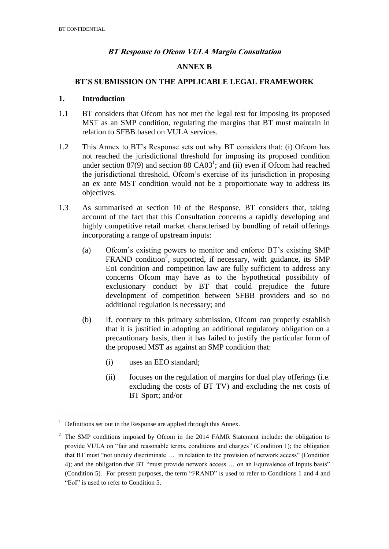### **BT Response to Ofcom VULA Margin Consultation**

### **ANNEX B**

### **BT'S SUBMISSION ON THE APPLICABLE LEGAL FRAMEWORK**

#### **1. Introduction**

- 1.1 BT considers that Ofcom has not met the legal test for imposing its proposed MST as an SMP condition, regulating the margins that BT must maintain in relation to SFBB based on VULA services.
- 1.2 This Annex to BT's Response sets out why BT considers that: (i) Ofcom has not reached the jurisdictional threshold for imposing its proposed condition under section 87(9) and section 88 CA03<sup>1</sup>; and (ii) even if Ofcom had reached the jurisdictional threshold, Ofcom's exercise of its jurisdiction in proposing an ex ante MST condition would not be a proportionate way to address its objectives.
- 1.3 As summarised at section 10 of the Response, BT considers that, taking account of the fact that this Consultation concerns a rapidly developing and highly competitive retail market characterised by bundling of retail offerings incorporating a range of upstream inputs:
	- (a) Ofcom's existing powers to monitor and enforce BT's existing SMP FRAND condition<sup>2</sup>, supported, if necessary, with guidance, its SMP EoI condition and competition law are fully sufficient to address any concerns Ofcom may have as to the hypothetical possibility of exclusionary conduct by BT that could prejudice the future development of competition between SFBB providers and so no additional regulation is necessary; and
	- (b) If, contrary to this primary submission, Ofcom can properly establish that it is justified in adopting an additional regulatory obligation on a precautionary basis, then it has failed to justify the particular form of the proposed MST as against an SMP condition that:
		- (i) uses an EEO standard;
		- (ii) focuses on the regulation of margins for dual play offerings (i.e. excluding the costs of BT TV) and excluding the net costs of BT Sport; and/or

<u>.</u>

<sup>1</sup> Definitions set out in the Response are applied through this Annex.

 $2\degree$  The SMP conditions imposed by Ofcom in the 2014 FAMR Statement include: the obligation to provide VULA on "fair and reasonable terms, conditions and charges" (Condition 1); the obligation that BT must "not unduly discriminate … in relation to the provision of network access" (Condition 4); and the obligation that BT "must provide network access … on an Equivalence of Inputs basis" (Condition 5). For present purposes, the term "FRAND" is used to refer to Conditions 1 and 4 and "EoI" is used to refer to Condition 5.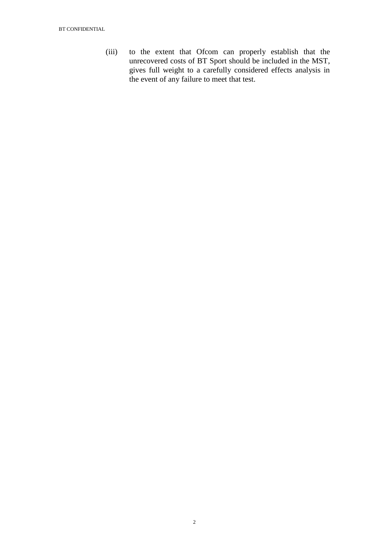(iii) to the extent that Ofcom can properly establish that the unrecovered costs of BT Sport should be included in the MST, gives full weight to a carefully considered effects analysis in the event of any failure to meet that test.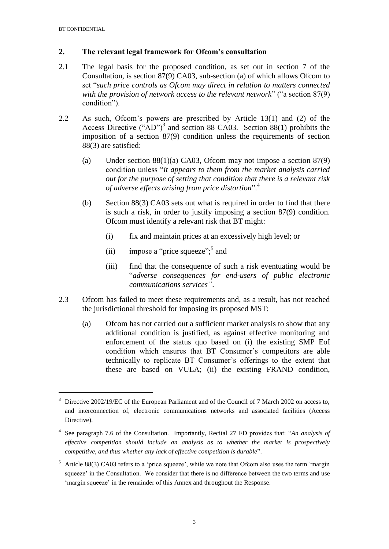1

### **2. The relevant legal framework for Ofcom's consultation**

- 2.1 The legal basis for the proposed condition, as set out in section 7 of the Consultation, is section 87(9) CA03, sub-section (a) of which allows Ofcom to set "*such price controls as Ofcom may direct in relation to matters connected with the provision of network access to the relevant network*" ("a section 87(9) condition").
- 2.2 As such, Ofcom's powers are prescribed by Article 13(1) and (2) of the Access Directive  $("AD")^3$  and section 88 CA03. Section 88(1) prohibits the imposition of a section 87(9) condition unless the requirements of section 88(3) are satisfied:
	- (a) Under section  $88(1)(a)$  CA03, Ofcom may not impose a section  $87(9)$ condition unless "*it appears to them from the market analysis carried out for the purpose of setting that condition that there is a relevant risk of adverse effects arising from price distortion*".<sup>4</sup>
	- (b) Section 88(3) CA03 sets out what is required in order to find that there is such a risk, in order to justify imposing a section 87(9) condition. Ofcom must identify a relevant risk that BT might:
		- (i) fix and maintain prices at an excessively high level; or
		- (ii) impose a "price squeeze";<sup>5</sup> and
		- (iii) find that the consequence of such a risk eventuating would be "*adverse consequences for end-users of public electronic communications services"*.
- 2.3 Ofcom has failed to meet these requirements and, as a result, has not reached the jurisdictional threshold for imposing its proposed MST:
	- (a) Ofcom has not carried out a sufficient market analysis to show that any additional condition is justified, as against effective monitoring and enforcement of the status quo based on (i) the existing SMP EoI condition which ensures that BT Consumer's competitors are able technically to replicate BT Consumer's offerings to the extent that these are based on VULA; (ii) the existing FRAND condition,

<sup>3</sup> Directive 2002/19/EC of the European Parliament and of the Council of 7 March 2002 on access to, and interconnection of, electronic communications networks and associated facilities (Access Directive).

<sup>4</sup> See paragraph 7.6 of the Consultation. Importantly, Recital 27 FD provides that: "*An analysis of effective competition should include an analysis as to whether the market is prospectively competitive, and thus whether any lack of effective competition is durable*".

<sup>&</sup>lt;sup>5</sup> Article 88(3) CA03 refers to a 'price squeeze', while we note that Ofcom also uses the term 'margin squeeze' in the Consultation. We consider that there is no difference between the two terms and use 'margin squeeze' in the remainder of this Annex and throughout the Response.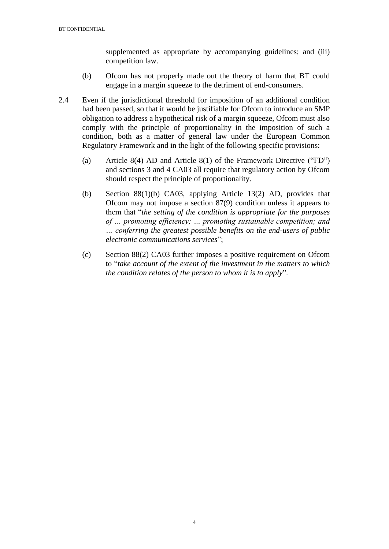supplemented as appropriate by accompanying guidelines; and (iii) competition law.

- (b) Ofcom has not properly made out the theory of harm that BT could engage in a margin squeeze to the detriment of end-consumers.
- 2.4 Even if the jurisdictional threshold for imposition of an additional condition had been passed, so that it would be justifiable for Ofcom to introduce an SMP obligation to address a hypothetical risk of a margin squeeze, Ofcom must also comply with the principle of proportionality in the imposition of such a condition, both as a matter of general law under the European Common Regulatory Framework and in the light of the following specific provisions:
	- (a) Article 8(4) AD and Article 8(1) of the Framework Directive ("FD") and sections 3 and 4 CA03 all require that regulatory action by Ofcom should respect the principle of proportionality.
	- (b) Section 88(1)(b) CA03, applying Article 13(2) AD, provides that Ofcom may not impose a section 87(9) condition unless it appears to them that "*the setting of the condition is appropriate for the purposes of … promoting efficiency; … promoting sustainable competition; and … conferring the greatest possible benefits on the end-users of public electronic communications services*";
	- (c) Section 88(2) CA03 further imposes a positive requirement on Ofcom to "*take account of the extent of the investment in the matters to which the condition relates of the person to whom it is to apply*".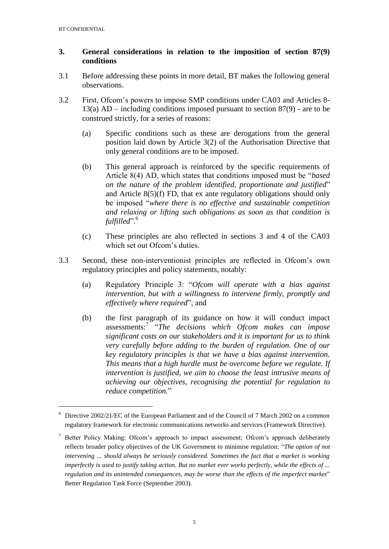1

# **3. General considerations in relation to the imposition of section 87(9) conditions**

- 3.1 Before addressing these points in more detail, BT makes the following general observations.
- 3.2 First, Ofcom's powers to impose SMP conditions under CA03 and Articles 8- 13(a) AD – including conditions imposed pursuant to section 87(9) - are to be construed strictly, for a series of reasons:
	- (a) Specific conditions such as these are derogations from the general position laid down by Article 3(2) of the Authorisation Directive that only general conditions are to be imposed.
	- (b) This general approach is reinforced by the specific requirements of Article 8(4) AD, which states that conditions imposed must be "*based on the nature of the problem identified, proportionate and justified*" and Article 8(5)(f) FD, that ex ante regulatory obligations should only be imposed "*where there is no effective and sustainable competition and relaxing or lifting such obligations as soon as that condition is fulfilled*".<sup>6</sup>
	- (c) These principles are also reflected in sections 3 and 4 of the CA03 which set out Ofcom's duties.
- 3.3 Second, these non-interventionist principles are reflected in Ofcom's own regulatory principles and policy statements, notably:
	- (a) Regulatory Principle 3: "*Ofcom will operate with a bias against intervention, but with a willingness to intervene firmly, promptly and effectively where required*"; and
	- (b) the first paragraph of its guidance on how it will conduct impact assessments:<sup>7</sup> "*The decisions which Ofcom makes can impose significant costs on our stakeholders and it is important for us to think very carefully before adding to the burden of regulation. One of our key regulatory principles is that we have a bias against intervention. This means that a high hurdle must be overcome before we regulate. If intervention is justified, we aim to choose the least intrusive means of achieving our objectives, recognising the potential for regulation to reduce competition.*"

<sup>6</sup> Directive 2002/21/EC of the European Parliament and of the Council of 7 March 2002 on a common regulatory framework for electronic communications networks and services (Framework Directive).

<sup>7</sup> [Better Policy Making: Ofcom's approach to impact assessment; O](http://www.ofcom.org.uk/about/policies-and-guidelines/better-policy-making-ofcoms-approach-to-impact-assessment/)fcom's approach deliberately reflects broader policy objectives of the UK Government to minimise regulation: "*The option of not intervening ... should always be seriously considered. Sometimes the fact that a market is working imperfectly is used to justify taking action. But no market ever works perfectly, while the effects of ... regulation and its unintended consequences, may be worse than the effects of the imperfect market*" Better Regulation Task Force (September 2003).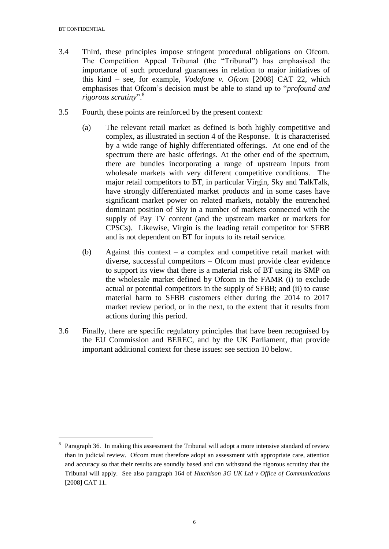<u>.</u>

- 3.4 Third, these principles impose stringent procedural obligations on Ofcom. The Competition Appeal Tribunal (the "Tribunal") has emphasised the importance of such procedural guarantees in relation to major initiatives of this kind – see, for example, *Vodafone v. Ofcom* [2008] CAT 22, which emphasises that Ofcom's decision must be able to stand up to "*profound and rigorous scrutiny*".<sup>8</sup>
- 3.5 Fourth, these points are reinforced by the present context:
	- (a) The relevant retail market as defined is both highly competitive and complex, as illustrated in section 4 of the Response. It is characterised by a wide range of highly differentiated offerings. At one end of the spectrum there are basic offerings. At the other end of the spectrum, there are bundles incorporating a range of upstream inputs from wholesale markets with very different competitive conditions. The major retail competitors to BT, in particular Virgin, Sky and TalkTalk, have strongly differentiated market products and in some cases have significant market power on related markets, notably the entrenched dominant position of Sky in a number of markets connected with the supply of Pay TV content (and the upstream market or markets for CPSCs). Likewise, Virgin is the leading retail competitor for SFBB and is not dependent on BT for inputs to its retail service.
	- (b) Against this context a complex and competitive retail market with diverse, successful competitors – Ofcom must provide clear evidence to support its view that there is a material risk of BT using its SMP on the wholesale market defined by Ofcom in the FAMR (i) to exclude actual or potential competitors in the supply of SFBB; and (ii) to cause material harm to SFBB customers either during the 2014 to 2017 market review period, or in the next, to the extent that it results from actions during this period.
- 3.6 Finally, there are specific regulatory principles that have been recognised by the EU Commission and BEREC, and by the UK Parliament, that provide important additional context for these issues: see section 10 below.

<sup>&</sup>lt;sup>8</sup> Paragraph 36. In making this assessment the Tribunal will adopt a more intensive standard of review than in judicial review. Ofcom must therefore adopt an assessment with appropriate care, attention and accuracy so that their results are soundly based and can withstand the rigorous scrutiny that the Tribunal will apply. See also paragraph 164 of *Hutchison 3G UK Ltd v Office of Communications* [2008] CAT 11.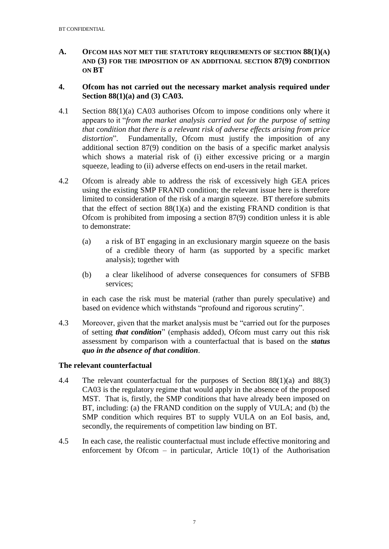**A. OFCOM HAS NOT MET THE STATUTORY REQUIREMENTS OF SECTION 88(1)(A) AND (3) FOR THE IMPOSITION OF AN ADDITIONAL SECTION 87(9) CONDITION ON BT**

### **4. Ofcom has not carried out the necessary market analysis required under Section 88(1)(a) and (3) CA03.**

- 4.1 Section 88(1)(a) CA03 authorises Ofcom to impose conditions only where it appears to it "*from the market analysis carried out for the purpose of setting that condition that there is a relevant risk of adverse effects arising from price*  distortion". Fundamentally, Ofcom must justify the imposition of any additional section 87(9) condition on the basis of a specific market analysis which shows a material risk of (i) either excessive pricing or a margin squeeze, leading to (ii) adverse effects on end-users in the retail market.
- 4.2 Ofcom is already able to address the risk of excessively high GEA prices using the existing SMP FRAND condition; the relevant issue here is therefore limited to consideration of the risk of a margin squeeze. BT therefore submits that the effect of section  $88(1)(a)$  and the existing FRAND condition is that Ofcom is prohibited from imposing a section 87(9) condition unless it is able to demonstrate:
	- (a) a risk of BT engaging in an exclusionary margin squeeze on the basis of a credible theory of harm (as supported by a specific market analysis); together with
	- (b) a clear likelihood of adverse consequences for consumers of SFBB services;

in each case the risk must be material (rather than purely speculative) and based on evidence which withstands "profound and rigorous scrutiny".

4.3 Moreover, given that the market analysis must be "carried out for the purposes of setting *that condition*" (emphasis added), Ofcom must carry out this risk assessment by comparison with a counterfactual that is based on the *status quo in the absence of that condition*.

### **The relevant counterfactual**

- 4.4 The relevant counterfactual for the purposes of Section 88(1)(a) and 88(3) CA03 is the regulatory regime that would apply in the absence of the proposed MST. That is, firstly, the SMP conditions that have already been imposed on BT, including: (a) the FRAND condition on the supply of VULA; and (b) the SMP condition which requires BT to supply VULA on an EoI basis, and, secondly, the requirements of competition law binding on BT.
- 4.5 In each case, the realistic counterfactual must include effective monitoring and enforcement by Ofcom – in particular, Article  $10(1)$  of the Authorisation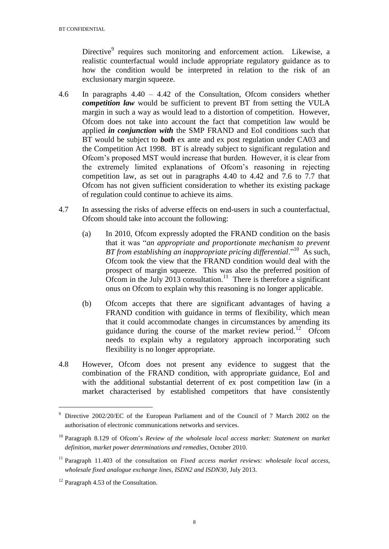Directive<sup>9</sup> requires such monitoring and enforcement action. Likewise, a realistic counterfactual would include appropriate regulatory guidance as to how the condition would be interpreted in relation to the risk of an exclusionary margin squeeze.

- 4.6 In paragraphs 4.40 4.42 of the Consultation, Ofcom considers whether *competition law* would be sufficient to prevent BT from setting the VULA margin in such a way as would lead to a distortion of competition. However, Ofcom does not take into account the fact that competition law would be applied *in conjunction with* the SMP FRAND and EoI conditions such that BT would be subject to *both* ex ante and ex post regulation under CA03 and the Competition Act 1998. BT is already subject to significant regulation and Ofcom's proposed MST would increase that burden. However, it is clear from the extremely limited explanations of Ofcom's reasoning in rejecting competition law, as set out in paragraphs 4.40 to 4.42 and 7.6 to 7.7 that Ofcom has not given sufficient consideration to whether its existing package of regulation could continue to achieve its aims.
- 4.7 In assessing the risks of adverse effects on end-users in such a counterfactual, Ofcom should take into account the following:
	- (a) In 2010, Ofcom expressly adopted the FRAND condition on the basis that it was "*an appropriate and proportionate mechanism to prevent*  BT from establishing an inappropriate pricing differential."<sup>10</sup> As such, Ofcom took the view that the FRAND condition would deal with the prospect of margin squeeze. This was also the preferred position of Ofcom in the July 2013 consultation.<sup>11</sup> There is therefore a significant onus on Ofcom to explain why this reasoning is no longer applicable.
	- (b) Ofcom accepts that there are significant advantages of having a FRAND condition with guidance in terms of flexibility, which mean that it could accommodate changes in circumstances by amending its guidance during the course of the market review period.<sup>12</sup> Ofcom needs to explain why a regulatory approach incorporating such flexibility is no longer appropriate.
- 4.8 However, Ofcom does not present any evidence to suggest that the combination of the FRAND condition, with appropriate guidance, EoI and with the additional substantial deterrent of ex post competition law (in a market characterised by established competitors that have consistently

<u>.</u>

<sup>9</sup> Directive 2002/20/EC of the European Parliament and of the Council of 7 March 2002 on the authorisation of electronic communications networks and services.

<sup>10</sup> Paragraph 8.129 of Ofcom's *Review of the wholesale local access market: Statement on market definition, market power determinations and remedies*, October 2010.

<sup>11</sup> Paragraph 11.403 of the consultation on *Fixed access market reviews: wholesale local access, wholesale fixed analogue exchange lines, ISDN2 and ISDN30*, July 2013.

 $12$  Paragraph 4.53 of the Consultation.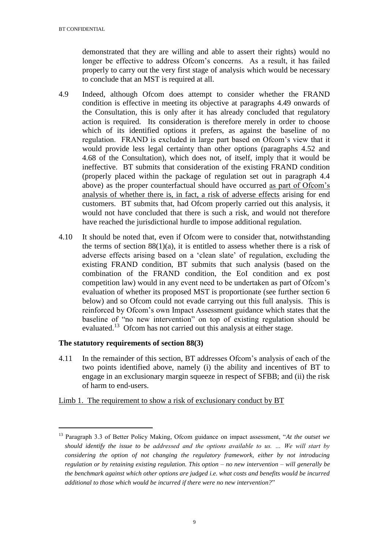demonstrated that they are willing and able to assert their rights) would no longer be effective to address Ofcom's concerns. As a result, it has failed properly to carry out the very first stage of analysis which would be necessary to conclude that an MST is required at all.

- 4.9 Indeed, although Ofcom does attempt to consider whether the FRAND condition is effective in meeting its objective at paragraphs 4.49 onwards of the Consultation, this is only after it has already concluded that regulatory action is required. Its consideration is therefore merely in order to choose which of its identified options it prefers, as against the baseline of no regulation. FRAND is excluded in large part based on Ofcom's view that it would provide less legal certainty than other options (paragraphs 4.52 and 4.68 of the Consultation), which does not, of itself, imply that it would be ineffective. BT submits that consideration of the existing FRAND condition (properly placed within the package of regulation set out in paragraph 4.4 above) as the proper counterfactual should have occurred as part of Ofcom's analysis of whether there is, in fact, a risk of adverse effects arising for end customers. BT submits that, had Ofcom properly carried out this analysis, it would not have concluded that there is such a risk, and would not therefore have reached the jurisdictional hurdle to impose additional regulation.
- 4.10 It should be noted that, even if Ofcom were to consider that, notwithstanding the terms of section  $88(1)(a)$ , it is entitled to assess whether there is a risk of adverse effects arising based on a 'clean slate' of regulation, excluding the existing FRAND condition, BT submits that such analysis (based on the combination of the FRAND condition, the EoI condition and ex post competition law) would in any event need to be undertaken as part of Ofcom's evaluation of whether its proposed MST is proportionate (see further section 6 below) and so Ofcom could not evade carrying out this full analysis. This is reinforced by Ofcom's own Impact Assessment guidance which states that the baseline of "no new intervention" on top of existing regulation should be evaluated.<sup>13</sup> Ofcom has not carried out this analysis at either stage.

# **The statutory requirements of section 88(3)**

1

4.11 In the remainder of this section, BT addresses Ofcom's analysis of each of the two points identified above, namely (i) the ability and incentives of BT to engage in an exclusionary margin squeeze in respect of SFBB; and (ii) the risk of harm to end-users.

Limb 1. The requirement to show a risk of exclusionary conduct by BT

<sup>13</sup> Paragraph 3.3 of Better Policy Making, Ofcom guidance on impact assessment, "*At the outset we should identify the issue to be addressed and the options available to us. … We will start by considering the option of not changing the regulatory framework, either by not introducing regulation or by retaining existing regulation. This option – no new intervention – will generally be the benchmark against which other options are judged i.e. what costs and benefits would be incurred additional to those which would be incurred if there were no new intervention?*"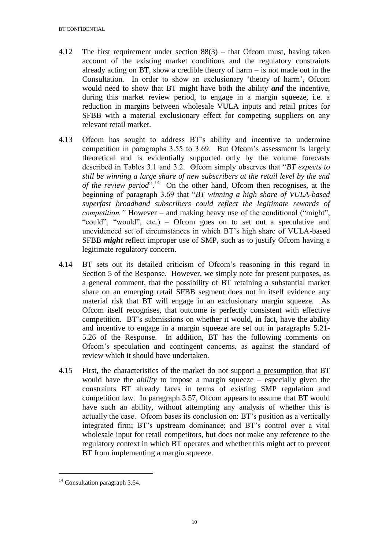- 4.12 The first requirement under section 88(3) that Ofcom must, having taken account of the existing market conditions and the regulatory constraints already acting on BT, show a credible theory of harm – is not made out in the Consultation. In order to show an exclusionary 'theory of harm', Ofcom would need to show that BT might have both the ability *and* the incentive, during this market review period, to engage in a margin squeeze, i.e. a reduction in margins between wholesale VULA inputs and retail prices for SFBB with a material exclusionary effect for competing suppliers on any relevant retail market.
- 4.13 Ofcom has sought to address BT's ability and incentive to undermine competition in paragraphs 3.55 to 3.69. But Ofcom's assessment is largely theoretical and is evidentially supported only by the volume forecasts described in Tables 3.1 and 3.2. Ofcom simply observes that "*BT expects to still be winning a large share of new subscribers at the retail level by the end*  of the review period<sup>".14</sup> On the other hand, Ofcom then recognises, at the beginning of paragraph 3.69 that "*BT winning a high share of VULA-based superfast broadband subscribers could reflect the legitimate rewards of competition."* However – and making heavy use of the conditional ("might", "could", "would", etc.) – Ofcom goes on to set out a speculative and unevidenced set of circumstances in which BT's high share of VULA-based SFBB *might* reflect improper use of SMP, such as to justify Ofcom having a legitimate regulatory concern.
- 4.14 BT sets out its detailed criticism of Ofcom's reasoning in this regard in Section 5 of the Response. However, we simply note for present purposes, as a general comment, that the possibility of BT retaining a substantial market share on an emerging retail SFBB segment does not in itself evidence any material risk that BT will engage in an exclusionary margin squeeze. As Ofcom itself recognises, that outcome is perfectly consistent with effective competition. BT's submissions on whether it would, in fact, have the ability and incentive to engage in a margin squeeze are set out in paragraphs 5.21- 5.26 of the Response. In addition, BT has the following comments on Ofcom's speculation and contingent concerns, as against the standard of review which it should have undertaken.
- 4.15 First, the characteristics of the market do not support a presumption that BT would have the *ability* to impose a margin squeeze – especially given the constraints BT already faces in terms of existing SMP regulation and competition law. In paragraph 3.57, Ofcom appears to assume that BT would have such an ability, without attempting any analysis of whether this is actually the case. Ofcom bases its conclusion on: BT's position as a vertically integrated firm; BT's upstream dominance; and BT's control over a vital wholesale input for retail competitors, but does not make any reference to the regulatory context in which BT operates and whether this might act to prevent BT from implementing a margin squeeze.

 $14$  Consultation paragraph 3.64.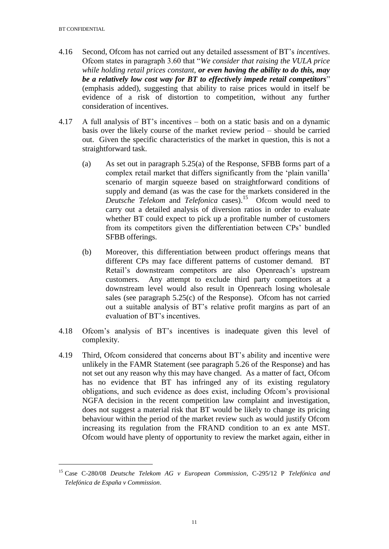<u>.</u>

- 4.16 Second, Ofcom has not carried out any detailed assessment of BT's *incentives*. Ofcom states in paragraph 3.60 that "*We consider that raising the VULA price while holding retail prices constant, or even having the ability to do this, may be a relatively low cost way for BT to effectively impede retail competitors*" (emphasis added), suggesting that ability to raise prices would in itself be evidence of a risk of distortion to competition, without any further consideration of incentives.
- 4.17 A full analysis of BT's incentives both on a static basis and on a dynamic basis over the likely course of the market review period – should be carried out. Given the specific characteristics of the market in question, this is not a straightforward task.
	- (a) As set out in paragraph 5.25(a) of the Response, SFBB forms part of a complex retail market that differs significantly from the 'plain vanilla' scenario of margin squeeze based on straightforward conditions of supply and demand (as was the case for the markets considered in the Deutsche Telekom and Telefonica cases).<sup>15</sup> Ofcom would need to carry out a detailed analysis of diversion ratios in order to evaluate whether BT could expect to pick up a profitable number of customers from its competitors given the differentiation between CPs' bundled SFBB offerings.
	- (b) Moreover, this differentiation between product offerings means that different CPs may face different patterns of customer demand. BT Retail's downstream competitors are also Openreach's upstream customers. Any attempt to exclude third party competitors at a downstream level would also result in Openreach losing wholesale sales (see paragraph  $5.25(c)$  of the Response). Of com has not carried out a suitable analysis of BT's relative profit margins as part of an evaluation of BT's incentives.
- 4.18 Ofcom's analysis of BT's incentives is inadequate given this level of complexity.
- 4.19 Third, Ofcom considered that concerns about BT's ability and incentive were unlikely in the FAMR Statement (see paragraph 5.26 of the Response) and has not set out any reason why this may have changed. As a matter of fact, Ofcom has no evidence that BT has infringed any of its existing regulatory obligations, and such evidence as does exist, including Ofcom's provisional NGFA decision in the recent competition law complaint and investigation, does not suggest a material risk that BT would be likely to change its pricing behaviour within the period of the market review such as would justify Ofcom increasing its regulation from the FRAND condition to an ex ante MST. Ofcom would have plenty of opportunity to review the market again, either in

<sup>15</sup> Case C-280/08 *Deutsche Telekom AG v European Commission*, C-295/12 P *Telefónica and Telefónica de España v Commission*.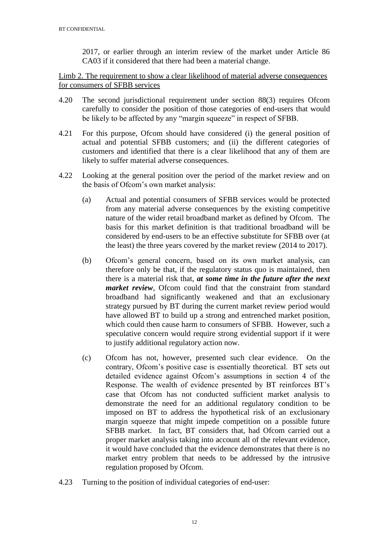2017, or earlier through an interim review of the market under Article 86 CA03 if it considered that there had been a material change.

Limb 2. The requirement to show a clear likelihood of material adverse consequences for consumers of SFBB services

- 4.20 The second jurisdictional requirement under section 88(3) requires Ofcom carefully to consider the position of those categories of end-users that would be likely to be affected by any "margin squeeze" in respect of SFBB.
- 4.21 For this purpose, Ofcom should have considered (i) the general position of actual and potential SFBB customers; and (ii) the different categories of customers and identified that there is a clear likelihood that any of them are likely to suffer material adverse consequences.
- 4.22 Looking at the general position over the period of the market review and on the basis of Ofcom's own market analysis:
	- (a) Actual and potential consumers of SFBB services would be protected from any material adverse consequences by the existing competitive nature of the wider retail broadband market as defined by Ofcom. The basis for this market definition is that traditional broadband will be considered by end-users to be an effective substitute for SFBB over (at the least) the three years covered by the market review (2014 to 2017).
	- (b) Ofcom's general concern, based on its own market analysis, can therefore only be that, if the regulatory status quo is maintained, then there is a material risk that, *at some time in the future after the next market review*, Ofcom could find that the constraint from standard broadband had significantly weakened and that an exclusionary strategy pursued by BT during the current market review period would have allowed BT to build up a strong and entrenched market position, which could then cause harm to consumers of SFBB. However, such a speculative concern would require strong evidential support if it were to justify additional regulatory action now.
	- (c) Ofcom has not, however, presented such clear evidence. On the contrary, Ofcom's positive case is essentially theoretical. BT sets out detailed evidence against Ofcom's assumptions in section 4 of the Response. The wealth of evidence presented by BT reinforces BT's case that Ofcom has not conducted sufficient market analysis to demonstrate the need for an additional regulatory condition to be imposed on BT to address the hypothetical risk of an exclusionary margin squeeze that might impede competition on a possible future SFBB market. In fact, BT considers that, had Ofcom carried out a proper market analysis taking into account all of the relevant evidence, it would have concluded that the evidence demonstrates that there is no market entry problem that needs to be addressed by the intrusive regulation proposed by Ofcom.
- 4.23 Turning to the position of individual categories of end-user: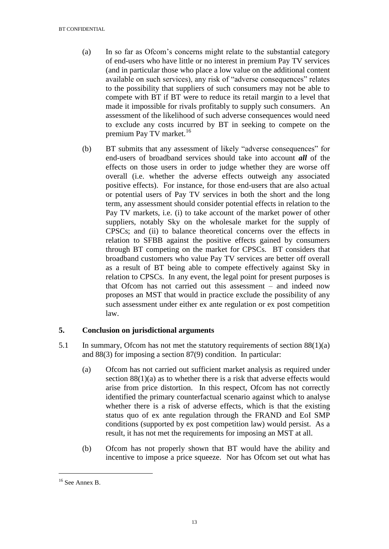#### BT CONFIDENTIAL

- (a) In so far as Ofcom's concerns might relate to the substantial category of end-users who have little or no interest in premium Pay TV services (and in particular those who place a low value on the additional content available on such services), any risk of "adverse consequences" relates to the possibility that suppliers of such consumers may not be able to compete with BT if BT were to reduce its retail margin to a level that made it impossible for rivals profitably to supply such consumers. An assessment of the likelihood of such adverse consequences would need to exclude any costs incurred by BT in seeking to compete on the premium Pay TV market.<sup>16</sup>
- (b) BT submits that any assessment of likely "adverse consequences" for end-users of broadband services should take into account *all* of the effects on those users in order to judge whether they are worse off overall (i.e. whether the adverse effects outweigh any associated positive effects). For instance, for those end-users that are also actual or potential users of Pay TV services in both the short and the long term, any assessment should consider potential effects in relation to the Pay TV markets, i.e. (i) to take account of the market power of other suppliers, notably Sky on the wholesale market for the supply of CPSCs; and (ii) to balance theoretical concerns over the effects in relation to SFBB against the positive effects gained by consumers through BT competing on the market for CPSCs. BT considers that broadband customers who value Pay TV services are better off overall as a result of BT being able to compete effectively against Sky in relation to CPSCs. In any event, the legal point for present purposes is that Ofcom has not carried out this assessment – and indeed now proposes an MST that would in practice exclude the possibility of any such assessment under either ex ante regulation or ex post competition law.

# **5. Conclusion on jurisdictional arguments**

- 5.1 In summary, Ofcom has not met the statutory requirements of section 88(1)(a) and 88(3) for imposing a section 87(9) condition. In particular:
	- (a) Ofcom has not carried out sufficient market analysis as required under section 88(1)(a) as to whether there is a risk that adverse effects would arise from price distortion. In this respect, Ofcom has not correctly identified the primary counterfactual scenario against which to analyse whether there is a risk of adverse effects, which is that the existing status quo of ex ante regulation through the FRAND and EoI SMP conditions (supported by ex post competition law) would persist. As a result, it has not met the requirements for imposing an MST at all.
	- (b) Ofcom has not properly shown that BT would have the ability and incentive to impose a price squeeze. Nor has Ofcom set out what has

 $16$  See Annex B.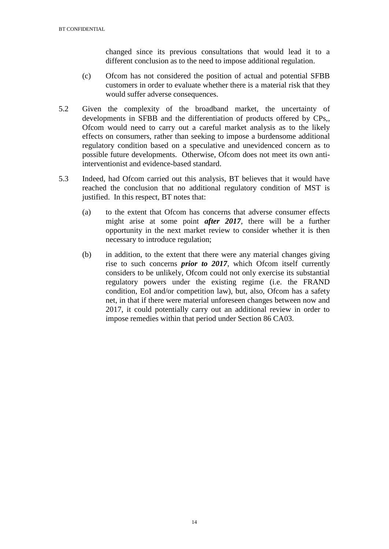changed since its previous consultations that would lead it to a different conclusion as to the need to impose additional regulation.

- (c) Ofcom has not considered the position of actual and potential SFBB customers in order to evaluate whether there is a material risk that they would suffer adverse consequences.
- 5.2 Given the complexity of the broadband market, the uncertainty of developments in SFBB and the differentiation of products offered by CPs,, Ofcom would need to carry out a careful market analysis as to the likely effects on consumers, rather than seeking to impose a burdensome additional regulatory condition based on a speculative and unevidenced concern as to possible future developments. Otherwise, Ofcom does not meet its own antiinterventionist and evidence-based standard.
- 5.3 Indeed, had Ofcom carried out this analysis, BT believes that it would have reached the conclusion that no additional regulatory condition of MST is justified. In this respect, BT notes that:
	- (a) to the extent that Ofcom has concerns that adverse consumer effects might arise at some point *after 2017*, there will be a further opportunity in the next market review to consider whether it is then necessary to introduce regulation;
	- (b) in addition, to the extent that there were any material changes giving rise to such concerns *prior to 2017*, which Ofcom itself currently considers to be unlikely, Ofcom could not only exercise its substantial regulatory powers under the existing regime (i.e. the FRAND condition, EoI and/or competition law), but, also, Ofcom has a safety net, in that if there were material unforeseen changes between now and 2017, it could potentially carry out an additional review in order to impose remedies within that period under Section 86 CA03.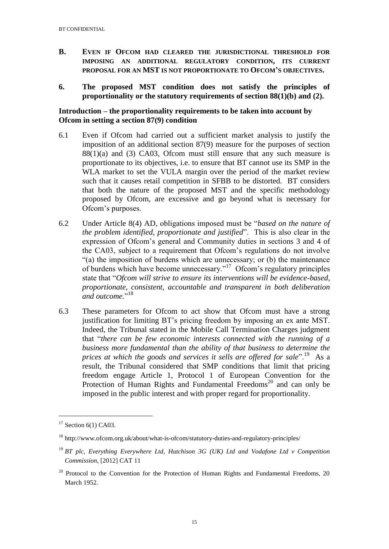- **B. EVEN IF OFCOM HAD CLEARED THE JURISDICTIONAL THRESHOLD FOR IMPOSING AN ADDITIONAL REGULATORY CONDITION, ITS CURRENT PROPOSAL FOR AN MST IS NOT PROPORTIONATE TO OFCOM'S OBJECTIVES.**
- **6. The proposed MST condition does not satisfy the principles of proportionality or the statutory requirements of section 88(1)(b) and (2).**

### **Introduction – the proportionality requirements to be taken into account by Ofcom in setting a section 87(9) condition**

- 6.1 Even if Ofcom had carried out a sufficient market analysis to justify the imposition of an additional section 87(9) measure for the purposes of section  $88(1)(a)$  and (3) CA03, Ofcom must still ensure that any such measure is proportionate to its objectives, i.e. to ensure that BT cannot use its SMP in the WLA market to set the VULA margin over the period of the market review such that it causes retail competition in SFBB to be distorted. BT considers that both the nature of the proposed MST and the specific methodology proposed by Ofcom, are excessive and go beyond what is necessary for Ofcom's purposes.
- 6.2 Under Article 8(4) AD, obligations imposed must be "*based on the nature of the problem identified, proportionate and justified*". This is also clear in the expression of Ofcom's general and Community duties in sections 3 and 4 of the CA03, subject to a requirement that Ofcom's regulations do not involve "(a) the imposition of burdens which are unnecessary; or (b) the maintenance of burdens which have become unnecessary."<sup>17</sup> Ofcom's regulatory principles state that "*Ofcom will strive to ensure its interventions will be evidence-based, proportionate, consistent, accountable and transparent in both deliberation*  and outcome."<sup>18</sup>
- 6.3 These parameters for Ofcom to act show that Ofcom must have a strong justification for limiting BT's pricing freedom by imposing an ex ante MST. Indeed, the Tribunal stated in the Mobile Call Termination Charges judgment that "*there can be few economic interests connected with the running of a business more fundamental than the ability of that business to determine the*  prices at which the goods and services it sells are offered for sale".<sup>19</sup> As a result, the Tribunal considered that SMP conditions that limit that pricing freedom engage Article 1, Protocol 1 of European Convention for the Protection of Human Rights and Fundamental Freedoms<sup>20</sup> and can only be imposed in the public interest and with proper regard for proportionality.

 $17$  Section 6(1) CA03.

<sup>18</sup> http://www.ofcom.org.uk/about/what-is-ofcom/statutory-duties-and-regulatory-principles/

<sup>19</sup> *BT plc, Everything Everywhere Ltd, Hutchison 3G (UK) Ltd and Vodafone Ltd v Competition Commission*, [2012] CAT 11

 $20$  Protocol to the Convention for the Protection of Human Rights and Fundamental Freedoms, 20 March 1952.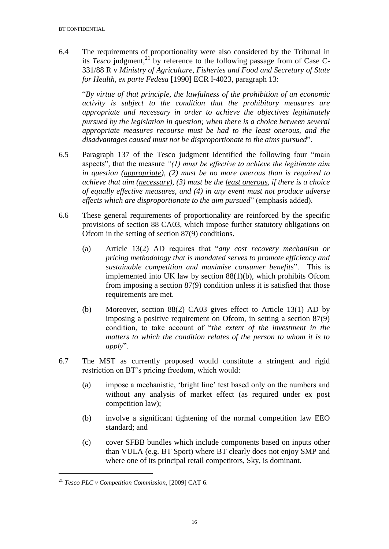6.4 The requirements of proportionality were also considered by the Tribunal in its *Tesco* judgment,<sup>21</sup> by reference to the following passage from of Case C-331/88 R v *Ministry of Agriculture, Fisheries and Food and Secretary of State for Health, ex parte Fedesa* [1990] ECR I-4023, paragraph 13:

"*By virtue of that principle, the lawfulness of the prohibition of an economic activity is subject to the condition that the prohibitory measures are appropriate and necessary in order to achieve the objectives legitimately pursued by the legislation in question; when there is a choice between several appropriate measures recourse must be had to the least onerous, and the disadvantages caused must not be disproportionate to the aims pursued*".

- 6.5 Paragraph 137 of the Tesco judgment identified the following four "main aspects", that the measure *"(1) must be effective to achieve the legitimate aim in question (appropriate), (2) must be no more onerous than is required to achieve that aim (necessary), (3) must be the least onerous, if there is a choice of equally effective measures, and (4) in any event must not produce adverse effects which are disproportionate to the aim pursued*" (emphasis added).
- 6.6 These general requirements of proportionality are reinforced by the specific provisions of section 88 CA03, which impose further statutory obligations on Ofcom in the setting of section 87(9) conditions.
	- (a) Article 13(2) AD requires that "*any cost recovery mechanism or pricing methodology that is mandated serves to promote efficiency and sustainable competition and maximise consumer benefits*". This is implemented into UK law by section 88(1)(b), which prohibits Ofcom from imposing a section 87(9) condition unless it is satisfied that those requirements are met.
	- (b) Moreover, section 88(2) CA03 gives effect to Article 13(1) AD by imposing a positive requirement on Ofcom, in setting a section 87(9) condition, to take account of "*the extent of the investment in the matters to which the condition relates of the person to whom it is to apply*".
- 6.7 The MST as currently proposed would constitute a stringent and rigid restriction on BT's pricing freedom, which would:
	- (a) impose a mechanistic, 'bright line' test based only on the numbers and without any analysis of market effect (as required under ex post competition law);
	- (b) involve a significant tightening of the normal competition law EEO standard; and
	- (c) cover SFBB bundles which include components based on inputs other than VULA (e.g. BT Sport) where BT clearly does not enjoy SMP and where one of its principal retail competitors, Sky, is dominant.

<sup>21</sup> *Tesco PLC v Competition Commission*, [2009] CAT 6.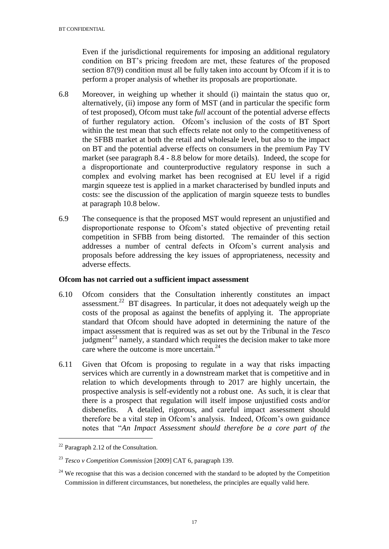Even if the jurisdictional requirements for imposing an additional regulatory condition on BT's pricing freedom are met, these features of the proposed section 87(9) condition must all be fully taken into account by Ofcom if it is to perform a proper analysis of whether its proposals are proportionate.

- 6.8 Moreover, in weighing up whether it should (i) maintain the status quo or, alternatively, (ii) impose any form of MST (and in particular the specific form of test proposed), Ofcom must take *full* account of the potential adverse effects of further regulatory action. Ofcom's inclusion of the costs of BT Sport within the test mean that such effects relate not only to the competitiveness of the SFBB market at both the retail and wholesale level, but also to the impact on BT and the potential adverse effects on consumers in the premium Pay TV market (see paragraph 8.4 - 8.8 below for more details). Indeed, the scope for a disproportionate and counterproductive regulatory response in such a complex and evolving market has been recognised at EU level if a rigid margin squeeze test is applied in a market characterised by bundled inputs and costs: see the discussion of the application of margin squeeze tests to bundles at paragraph 10.8 below.
- 6.9 The consequence is that the proposed MST would represent an unjustified and disproportionate response to Ofcom's stated objective of preventing retail competition in SFBB from being distorted. The remainder of this section addresses a number of central defects in Ofcom's current analysis and proposals before addressing the key issues of appropriateness, necessity and adverse effects.

# **Ofcom has not carried out a sufficient impact assessment**

- 6.10 Ofcom considers that the Consultation inherently constitutes an impact assessment.<sup>22</sup> BT disagrees. In particular, it does not adequately weigh up the costs of the proposal as against the benefits of applying it. The appropriate standard that Ofcom should have adopted in determining the nature of the impact assessment that is required was as set out by the Tribunal in the *Tesco*  $j$ udgment<sup>23</sup> namely, a standard which requires the decision maker to take more care where the outcome is more uncertain.<sup>24</sup>
- 6.11 Given that Ofcom is proposing to regulate in a way that risks impacting services which are currently in a downstream market that is competitive and in relation to which developments through to 2017 are highly uncertain, the prospective analysis is self-evidently not a robust one. As such, it is clear that there is a prospect that regulation will itself impose unjustified costs and/or disbenefits. A detailed, rigorous, and careful impact assessment should therefore be a vital step in Ofcom's analysis. Indeed, Ofcom's own guidance notes that "*An Impact Assessment should therefore be a core part of the*

 $^{22}$  Paragraph 2.12 of the Consultation.

<sup>23</sup> *Tesco v Competition Commission* [2009] CAT 6, paragraph 139.

 $24$  We recognise that this was a decision concerned with the standard to be adopted by the Competition Commission in different circumstances, but nonetheless, the principles are equally valid here.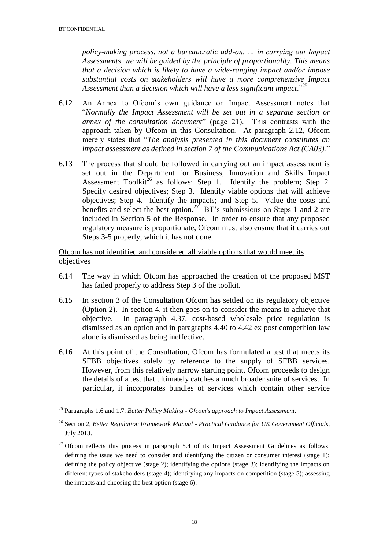<u>.</u>

*policy-making process, not a bureaucratic add-on. … in carrying out Impact Assessments, we will be guided by the principle of proportionality. This means that a decision which is likely to have a wide-ranging impact and/or impose substantial costs on stakeholders will have a more comprehensive Impact Assessment than a decision which will have a less significant impact*."<sup>25</sup>

- 6.12 An Annex to Ofcom's own guidance on Impact Assessment notes that "*Normally the Impact Assessment will be set out in a separate section or annex of the consultation document*" (page 21). This contrasts with the approach taken by Ofcom in this Consultation. At paragraph 2.12, Ofcom merely states that "*The analysis presented in this document constitutes an impact assessment as defined in section 7 of the Communications Act (CA03).*"
- 6.13 The process that should be followed in carrying out an impact assessment is set out in the Department for Business, Innovation and Skills Impact Assessment Toolkit<sup>26</sup> as follows: Step 1. Identify the problem; Step 2. Specify desired objectives; Step 3. Identify viable options that will achieve objectives; Step 4. Identify the impacts; and Step 5. Value the costs and benefits and select the best option.<sup>27</sup> BT's submissions on Steps 1 and 2 are included in Section 5 of the Response. In order to ensure that any proposed regulatory measure is proportionate, Ofcom must also ensure that it carries out Steps 3-5 properly, which it has not done.

Ofcom has not identified and considered all viable options that would meet its objectives

- 6.14 The way in which Ofcom has approached the creation of the proposed MST has failed properly to address Step 3 of the toolkit.
- 6.15 In section 3 of the Consultation Ofcom has settled on its regulatory objective (Option 2). In section 4, it then goes on to consider the means to achieve that objective. In paragraph 4.37, cost-based wholesale price regulation is dismissed as an option and in paragraphs 4.40 to 4.42 ex post competition law alone is dismissed as being ineffective.
- 6.16 At this point of the Consultation, Ofcom has formulated a test that meets its SFBB objectives solely by reference to the supply of SFBB services. However, from this relatively narrow starting point, Ofcom proceeds to design the details of a test that ultimately catches a much broader suite of services. In particular, it incorporates bundles of services which contain other service

<sup>25</sup> Paragraphs 1.6 and 1.7, *Better Policy Making - Ofcom's approach to Impact Assessment*.

<sup>26</sup> Section 2, *Better Regulation Framework Manual - Practical Guidance for UK Government Officials*, July 2013.

 $27$  Ofcom reflects this process in paragraph 5.4 of its Impact Assessment Guidelines as follows: defining the issue we need to consider and identifying the citizen or consumer interest (stage 1); defining the policy objective (stage 2); identifying the options (stage 3); identifying the impacts on different types of stakeholders (stage 4); identifying any impacts on competition (stage 5); assessing the impacts and choosing the best option (stage 6).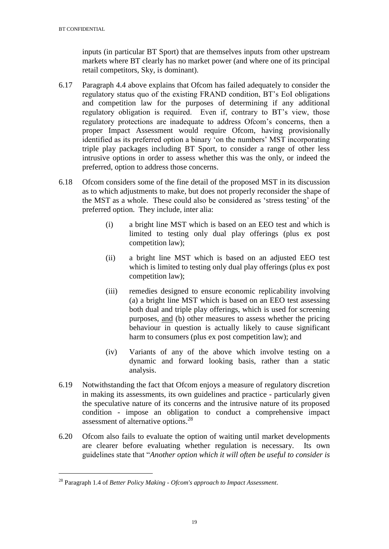inputs (in particular BT Sport) that are themselves inputs from other upstream markets where BT clearly has no market power (and where one of its principal retail competitors, Sky, is dominant).

- 6.17 Paragraph 4.4 above explains that Ofcom has failed adequately to consider the regulatory status quo of the existing FRAND condition, BT's EoI obligations and competition law for the purposes of determining if any additional regulatory obligation is required. Even if, contrary to BT's view, those regulatory protections are inadequate to address Ofcom's concerns, then a proper Impact Assessment would require Ofcom, having provisionally identified as its preferred option a binary 'on the numbers' MST incorporating triple play packages including BT Sport, to consider a range of other less intrusive options in order to assess whether this was the only, or indeed the preferred, option to address those concerns.
- 6.18 Ofcom considers some of the fine detail of the proposed MST in its discussion as to which adjustments to make, but does not properly reconsider the shape of the MST as a whole. These could also be considered as 'stress testing' of the preferred option. They include, inter alia:
	- (i) a bright line MST which is based on an EEO test and which is limited to testing only dual play offerings (plus ex post competition law);
	- (ii) a bright line MST which is based on an adjusted EEO test which is limited to testing only dual play offerings (plus ex post competition law);
	- (iii) remedies designed to ensure economic replicability involving (a) a bright line MST which is based on an EEO test assessing both dual and triple play offerings, which is used for screening purposes, and (b) other measures to assess whether the pricing behaviour in question is actually likely to cause significant harm to consumers (plus ex post competition law); and
	- (iv) Variants of any of the above which involve testing on a dynamic and forward looking basis, rather than a static analysis.
- 6.19 Notwithstanding the fact that Ofcom enjoys a measure of regulatory discretion in making its assessments, its own guidelines and practice - particularly given the speculative nature of its concerns and the intrusive nature of its proposed condition - impose an obligation to conduct a comprehensive impact assessment of alternative options.<sup>28</sup>
- 6.20 Ofcom also fails to evaluate the option of waiting until market developments are clearer before evaluating whether regulation is necessary. Its own guidelines state that "*Another option which it will often be useful to consider is*

<sup>28</sup> Paragraph 1.4 of *Better Policy Making - Ofcom's approach to Impact Assessment*.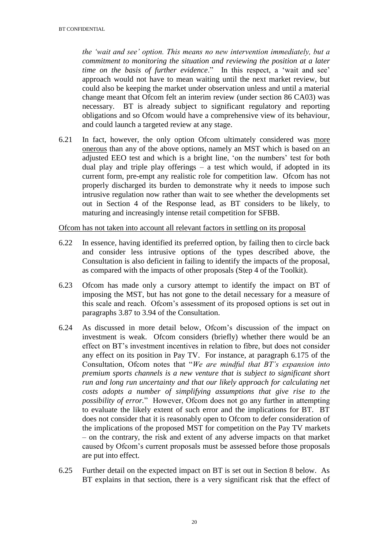*the 'wait and see' option. This means no new intervention immediately, but a commitment to monitoring the situation and reviewing the position at a later time on the basis of further evidence*." In this respect, a 'wait and see' approach would not have to mean waiting until the next market review, but could also be keeping the market under observation unless and until a material change meant that Ofcom felt an interim review (under section 86 CA03) was necessary. BT is already subject to significant regulatory and reporting obligations and so Ofcom would have a comprehensive view of its behaviour, and could launch a targeted review at any stage.

6.21 In fact, however, the only option Ofcom ultimately considered was more onerous than any of the above options, namely an MST which is based on an adjusted EEO test and which is a bright line, 'on the numbers' test for both dual play and triple play offerings – a test which would, if adopted in its current form, pre-empt any realistic role for competition law. Ofcom has not properly discharged its burden to demonstrate why it needs to impose such intrusive regulation now rather than wait to see whether the developments set out in Section 4 of the Response lead, as BT considers to be likely, to maturing and increasingly intense retail competition for SFBB.

Ofcom has not taken into account all relevant factors in settling on its proposal

- 6.22 In essence, having identified its preferred option, by failing then to circle back and consider less intrusive options of the types described above, the Consultation is also deficient in failing to identify the impacts of the proposal, as compared with the impacts of other proposals (Step 4 of the Toolkit).
- 6.23 Ofcom has made only a cursory attempt to identify the impact on BT of imposing the MST, but has not gone to the detail necessary for a measure of this scale and reach. Ofcom's assessment of its proposed options is set out in paragraphs 3.87 to 3.94 of the Consultation.
- 6.24 As discussed in more detail below, Ofcom's discussion of the impact on investment is weak. Ofcom considers (briefly) whether there would be an effect on BT's investment incentives in relation to fibre, but does not consider any effect on its position in Pay TV. For instance, at paragraph 6.175 of the Consultation, Ofcom notes that "*We are mindful that BT's expansion into premium sports channels is a new venture that is subject to significant short run and long run uncertainty and that our likely approach for calculating net costs adopts a number of simplifying assumptions that give rise to the possibility of error.*" However, Ofcom does not go any further in attempting to evaluate the likely extent of such error and the implications for BT. BT does not consider that it is reasonably open to Ofcom to defer consideration of the implications of the proposed MST for competition on the Pay TV markets – on the contrary, the risk and extent of any adverse impacts on that market caused by Ofcom's current proposals must be assessed before those proposals are put into effect.
- 6.25 Further detail on the expected impact on BT is set out in Section 8 below. As BT explains in that section, there is a very significant risk that the effect of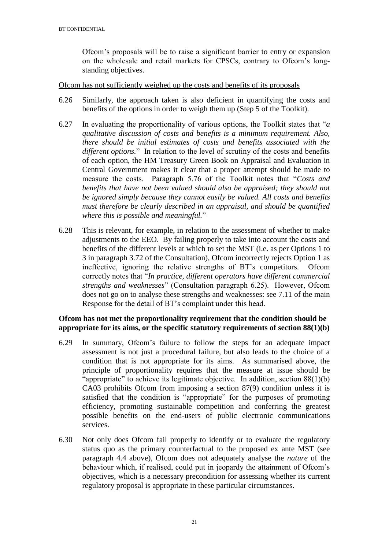Ofcom's proposals will be to raise a significant barrier to entry or expansion on the wholesale and retail markets for CPSCs, contrary to Ofcom's longstanding objectives.

#### Ofcom has not sufficiently weighed up the costs and benefits of its proposals

- 6.26 Similarly, the approach taken is also deficient in quantifying the costs and benefits of the options in order to weigh them up (Step 5 of the Toolkit).
- 6.27 In evaluating the proportionality of various options, the Toolkit states that "*a qualitative discussion of costs and benefits is a minimum requirement. Also, there should be initial estimates of costs and benefits associated with the different options.*" In relation to the level of scrutiny of the costs and benefits of each option, the HM Treasury Green Book on Appraisal and Evaluation in Central Government makes it clear that a proper attempt should be made to measure the costs. Paragraph 5.76 of the Toolkit notes that "*Costs and benefits that have not been valued should also be appraised; they should not be ignored simply because they cannot easily be valued. All costs and benefits must therefore be clearly described in an appraisal, and should be quantified where this is possible and meaningful.*"
- 6.28 This is relevant, for example, in relation to the assessment of whether to make adjustments to the EEO. By failing properly to take into account the costs and benefits of the different levels at which to set the MST (i.e. as per Options 1 to 3 in paragraph 3.72 of the Consultation), Ofcom incorrectly rejects Option 1 as ineffective, ignoring the relative strengths of BT's competitors. Ofcom correctly notes that "*In practice, different operators have different commercial strengths and weaknesses*" (Consultation paragraph 6.25). However, Ofcom does not go on to analyse these strengths and weaknesses: see 7.11 of the main Response for the detail of BT's complaint under this head.

### **Ofcom has not met the proportionality requirement that the condition should be appropriate for its aims, or the specific statutory requirements of section 88(1)(b)**

- 6.29 In summary, Ofcom's failure to follow the steps for an adequate impact assessment is not just a procedural failure, but also leads to the choice of a condition that is not appropriate for its aims. As summarised above, the principle of proportionality requires that the measure at issue should be "appropriate" to achieve its legitimate objective. In addition, section  $88(1)(b)$ CA03 prohibits Ofcom from imposing a section 87(9) condition unless it is satisfied that the condition is "appropriate" for the purposes of promoting efficiency, promoting sustainable competition and conferring the greatest possible benefits on the end-users of public electronic communications services.
- 6.30 Not only does Ofcom fail properly to identify or to evaluate the regulatory status quo as the primary counterfactual to the proposed ex ante MST (see paragraph 4.4 above), Ofcom does not adequately analyse the *nature* of the behaviour which, if realised, could put in jeopardy the attainment of Ofcom's objectives, which is a necessary precondition for assessing whether its current regulatory proposal is appropriate in these particular circumstances.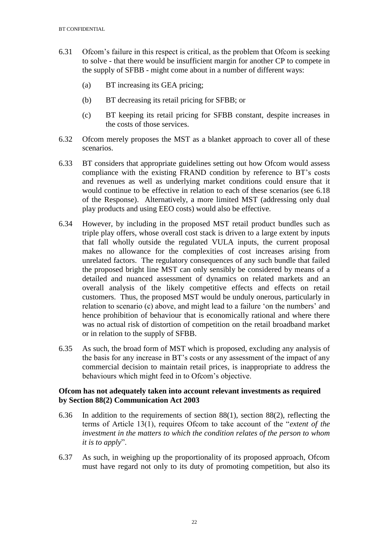- 6.31 Ofcom's failure in this respect is critical, as the problem that Ofcom is seeking to solve - that there would be insufficient margin for another CP to compete in the supply of SFBB - might come about in a number of different ways:
	- (a) BT increasing its GEA pricing;
	- (b) BT decreasing its retail pricing for SFBB; or
	- (c) BT keeping its retail pricing for SFBB constant, despite increases in the costs of those services.
- 6.32 Ofcom merely proposes the MST as a blanket approach to cover all of these scenarios.
- 6.33 BT considers that appropriate guidelines setting out how Ofcom would assess compliance with the existing FRAND condition by reference to BT's costs and revenues as well as underlying market conditions could ensure that it would continue to be effective in relation to each of these scenarios (see 6.18 of the Response). Alternatively, a more limited MST (addressing only dual play products and using EEO costs) would also be effective.
- 6.34 However, by including in the proposed MST retail product bundles such as triple play offers, whose overall cost stack is driven to a large extent by inputs that fall wholly outside the regulated VULA inputs, the current proposal makes no allowance for the complexities of cost increases arising from unrelated factors. The regulatory consequences of any such bundle that failed the proposed bright line MST can only sensibly be considered by means of a detailed and nuanced assessment of dynamics on related markets and an overall analysis of the likely competitive effects and effects on retail customers. Thus, the proposed MST would be unduly onerous, particularly in relation to scenario (c) above, and might lead to a failure 'on the numbers' and hence prohibition of behaviour that is economically rational and where there was no actual risk of distortion of competition on the retail broadband market or in relation to the supply of SFBB.
- 6.35 As such, the broad form of MST which is proposed, excluding any analysis of the basis for any increase in BT's costs or any assessment of the impact of any commercial decision to maintain retail prices, is inappropriate to address the behaviours which might feed in to Ofcom's objective.

### **Ofcom has not adequately taken into account relevant investments as required by Section 88(2) Communication Act 2003**

- 6.36 In addition to the requirements of section 88(1), section 88(2), reflecting the terms of Article 13(1), requires Ofcom to take account of the "*extent of the investment in the matters to which the condition relates of the person to whom it is to apply*".
- 6.37 As such, in weighing up the proportionality of its proposed approach, Ofcom must have regard not only to its duty of promoting competition, but also its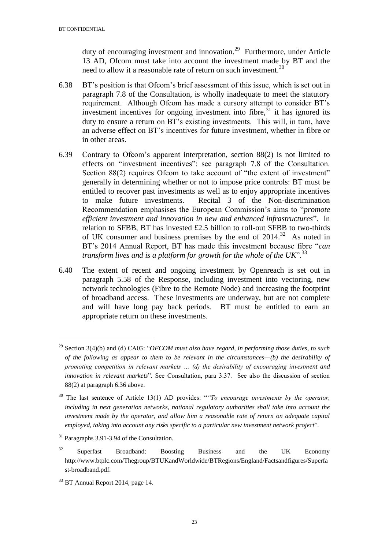duty of encouraging investment and innovation.<sup>29</sup> Furthermore, under Article 13 AD, Ofcom must take into account the investment made by BT and the need to allow it a reasonable rate of return on such investment.<sup>30</sup>

- 6.38 BT's position is that Ofcom's brief assessment of this issue, which is set out in paragraph 7.8 of the Consultation, is wholly inadequate to meet the statutory requirement. Although Ofcom has made a cursory attempt to consider BT's investment incentives for ongoing investment into fibre,  $31$  it has ignored its duty to ensure a return on BT's existing investments. This will, in turn, have an adverse effect on BT's incentives for future investment, whether in fibre or in other areas.
- 6.39 Contrary to Ofcom's apparent interpretation, section 88(2) is not limited to effects on "investment incentives": see paragraph 7.8 of the Consultation. Section 88(2) requires Ofcom to take account of "the extent of investment" generally in determining whether or not to impose price controls: BT must be entitled to recover past investments as well as to enjoy appropriate incentives to make future investments. Recital 3 of the Non-discrimination Recommendation emphasises the European Commission's aims to "*promote efficient investment and innovation in new and enhanced infrastructures*". In relation to SFBB, BT has invested £2.5 billion to roll-out SFBB to two-thirds of UK consumer and business premises by the end of  $2014$ <sup>32</sup> As noted in BT's 2014 Annual Report, BT has made this investment because fibre "*can transform lives and is a platform for growth for the whole of the UK*<sup>".33</sup>
- 6.40 The extent of recent and ongoing investment by Openreach is set out in paragraph 5.58 of the Response, including investment into vectoring, new network technologies (Fibre to the Remote Node) and increasing the footprint of broadband access. These investments are underway, but are not complete and will have long pay back periods. BT must be entitled to earn an appropriate return on these investments.

-

<sup>29</sup> Section 3(4)(b) and (d) CA03: "*OFCOM must also have regard, in performing those duties, to such of the following as appear to them to be relevant in the circumstances—(b) the desirability of promoting competition in relevant markets … (d) the desirability of encouraging investment and innovation in relevant markets*". See Consultation, para 3.37. See also the discussion of section 88(2) at paragraph 6.36 above.

<sup>30</sup> The last sentence of Article 13(1) AD provides: "*"To encourage investments by the operator, including in next generation networks, national regulatory authorities shall take into account the investment made by the operator, and allow him a reasonable rate of return on adequate capital employed, taking into account any risks specific to a particular new investment network project*".

<sup>&</sup>lt;sup>31</sup> Paragraphs 3.91-3.94 of the Consultation.

 $32$  Superfast Broadband: Boosting Business and the UK Economy http://www.btplc.com/Thegroup/BTUKandWorldwide/BTRegions/England/Factsandfigures/Superfa st-broadband.pdf.

<sup>33</sup> BT Annual Report 2014, page 14.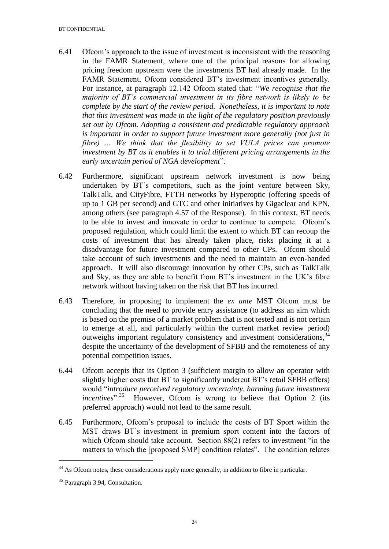- 6.41 Ofcom's approach to the issue of investment is inconsistent with the reasoning in the FAMR Statement, where one of the principal reasons for allowing pricing freedom upstream were the investments BT had already made. In the FAMR Statement, Ofcom considered BT's investment incentives generally. For instance, at paragraph 12.142 Ofcom stated that: "*We recognise that the majority of BT's commercial investment in its fibre network is likely to be complete by the start of the review period. Nonetheless, it is important to note that this investment was made in the light of the regulatory position previously set out by Ofcom. Adopting a consistent and predictable regulatory approach is important in order to support future investment more generally (not just in fibre) … We think that the flexibility to set VULA prices can promote investment by BT as it enables it to trial different pricing arrangements in the early uncertain period of NGA development*".
- 6.42 Furthermore, significant upstream network investment is now being undertaken by BT's competitors, such as the joint venture between Sky, TalkTalk, and CityFibre, FTTH networks by Hyperoptic (offering speeds of up to 1 GB per second) and GTC and other initiatives by Gigaclear and KPN, among others (see paragraph 4.57 of the Response). In this context, BT needs to be able to invest and innovate in order to continue to compete. Ofcom's proposed regulation, which could limit the extent to which BT can recoup the costs of investment that has already taken place, risks placing it at a disadvantage for future investment compared to other CPs. Ofcom should take account of such investments and the need to maintain an even-handed approach. It will also discourage innovation by other CPs, such as TalkTalk and Sky, as they are able to benefit from BT's investment in the UK's fibre network without having taken on the risk that BT has incurred.
- 6.43 Therefore, in proposing to implement the *ex ante* MST Ofcom must be concluding that the need to provide entry assistance (to address an aim which is based on the premise of a market problem that is not tested and is not certain to emerge at all, and particularly within the current market review period) outweighs important regulatory consistency and investment considerations,<sup>34</sup> despite the uncertainty of the development of SFBB and the remoteness of any potential competition issues.
- 6.44 Ofcom accepts that its Option 3 (sufficient margin to allow an operator with slightly higher costs that BT to significantly undercut BT's retail SFBB offers) would "*introduce perceived regulatory uncertainty, harming future investment*  incentives".<sup>35</sup> However, Ofcom is wrong to believe that Option 2 (its preferred approach) would not lead to the same result.
- 6.45 Furthermore, Ofcom's proposal to include the costs of BT Sport within the MST draws BT's investment in premium sport content into the factors of which Ofcom should take account. Section 88(2) refers to investment "in the matters to which the [proposed SMP] condition relates". The condition relates

<u>.</u>

 $34$  As Ofcom notes, these considerations apply more generally, in addition to fibre in particular.

<sup>&</sup>lt;sup>35</sup> Paragraph 3.94, Consultation.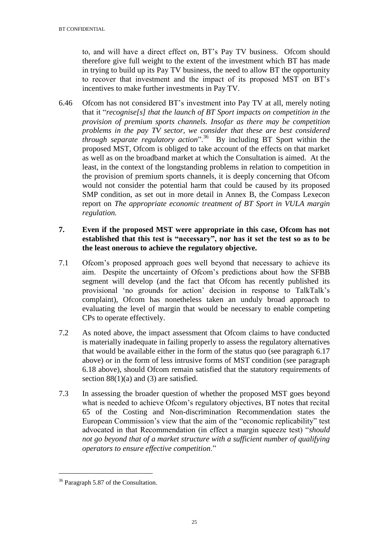to, and will have a direct effect on, BT's Pay TV business. Ofcom should therefore give full weight to the extent of the investment which BT has made in trying to build up its Pay TV business, the need to allow BT the opportunity to recover that investment and the impact of its proposed MST on BT's incentives to make further investments in Pay TV.

6.46 Ofcom has not considered BT's investment into Pay TV at all, merely noting that it "*recognise[s] that the launch of BT Sport impacts on competition in the provision of premium sports channels. Insofar as there may be competition problems in the pay TV sector, we consider that these are best considered through separate regulatory action*".<sup>36</sup> By including BT Sport within the proposed MST, Ofcom is obliged to take account of the effects on that market as well as on the broadband market at which the Consultation is aimed. At the least, in the context of the longstanding problems in relation to competition in the provision of premium sports channels, it is deeply concerning that Ofcom would not consider the potential harm that could be caused by its proposed SMP condition, as set out in more detail in Annex B, the Compass Lexecon report on *The appropriate economic treatment of BT Sport in VULA margin regulation.*

# **7. Even if the proposed MST were appropriate in this case, Ofcom has not established that this test is "necessary", nor has it set the test so as to be the least onerous to achieve the regulatory objective.**

- 7.1 Ofcom's proposed approach goes well beyond that necessary to achieve its aim. Despite the uncertainty of Ofcom's predictions about how the SFBB segment will develop (and the fact that Ofcom has recently published its provisional 'no grounds for action' decision in response to TalkTalk's complaint), Ofcom has nonetheless taken an unduly broad approach to evaluating the level of margin that would be necessary to enable competing CPs to operate effectively.
- 7.2 As noted above, the impact assessment that Ofcom claims to have conducted is materially inadequate in failing properly to assess the regulatory alternatives that would be available either in the form of the status quo (see paragraph 6.17 above) or in the form of less intrusive forms of MST condition (see paragraph 6.18 above), should Ofcom remain satisfied that the statutory requirements of section  $88(1)(a)$  and (3) are satisfied.
- 7.3 In assessing the broader question of whether the proposed MST goes beyond what is needed to achieve Ofcom's regulatory objectives, BT notes that recital 65 of the Costing and Non-discrimination Recommendation states the European Commission's view that the aim of the "economic replicability" test advocated in that Recommendation (in effect a margin squeeze test) "*should not go beyond that of a market structure with a sufficient number of qualifying operators to ensure effective competition*."

<sup>&</sup>lt;sup>36</sup> Paragraph 5.87 of the Consultation.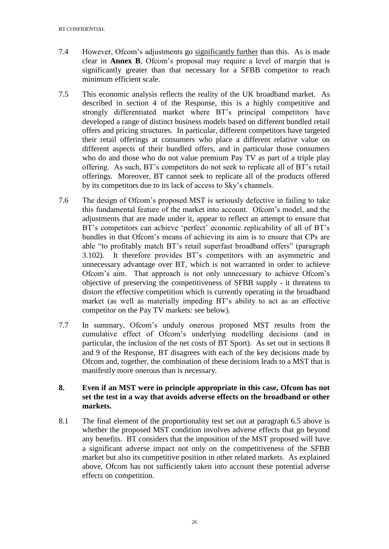- 7.4 However, Ofcom's adjustments go significantly further than this. As is made clear in **Annex B**, Ofcom's proposal may require a level of margin that is significantly greater than that necessary for a SFBB competitor to reach minimum efficient scale.
- 7.5 This economic analysis reflects the reality of the UK broadband market. As described in section 4 of the Response, this is a highly competitive and strongly differentiated market where BT's principal competitors have developed a range of distinct business models based on different bundled retail offers and pricing structures. In particular, different competitors have targeted their retail offerings at consumers who place a different relative value on different aspects of their bundled offers, and in particular those consumers who do and those who do not value premium Pay TV as part of a triple play offering. As such, BT's competitors do not seek to replicate all of BT's retail offerings. Moreover, BT cannot seek to replicate all of the products offered by its competitors due to its lack of access to Sky's channels.
- 7.6 The design of Ofcom's proposed MST is seriously defective in failing to take this fundamental feature of the market into account. Ofcom's model, and the adjustments that are made under it, appear to reflect an attempt to ensure that BT's competitors can achieve 'perfect' economic replicability of all of BT's bundles in that Ofcom's means of achieving its aim is to ensure that CPs are able "to profitably match BT's retail superfast broadband offers" (paragraph 3.102). It therefore provides BT's competitors with an asymmetric and unnecessary advantage over BT, which is not warranted in order to achieve Ofcom's aim. That approach is not only unnecessary to achieve Ofcom's objective of preserving the competitiveness of SFBB supply - it threatens to distort the effective competition which is currently operating in the broadband market (as well as materially impeding BT's ability to act as an effective competitor on the Pay TV markets: see below).
- 7.7 In summary, Ofcom's unduly onerous proposed MST results from the cumulative effect of Ofcom's underlying modelling decisions (and in particular, the inclusion of the net costs of BT Sport). As set out in sections 8 and 9 of the Response, BT disagrees with each of the key decisions made by Ofcom and, together, the combination of these decisions leads to a MST that is manifestly more onerous than is necessary.

# **8. Even if an MST were in principle appropriate in this case, Ofcom has not set the test in a way that avoids adverse effects on the broadband or other markets.**

8.1 The final element of the proportionality test set out at paragraph 6.5 above is whether the proposed MST condition involves adverse effects that go beyond any benefits. BT considers that the imposition of the MST proposed will have a significant adverse impact not only on the competitiveness of the SFBB market but also its competitive position in other related markets. As explained above, Ofcom has not sufficiently taken into account these potential adverse effects on competition.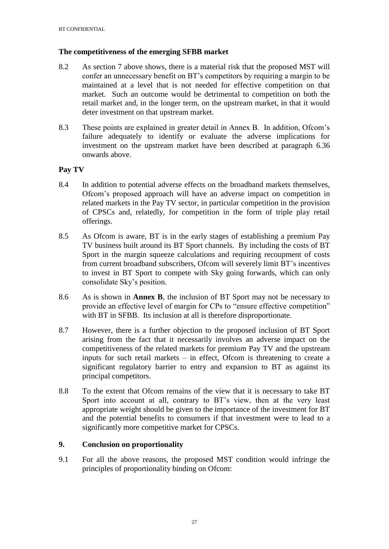### **The competitiveness of the emerging SFBB market**

- 8.2 As section 7 above shows, there is a material risk that the proposed MST will confer an unnecessary benefit on BT's competitors by requiring a margin to be maintained at a level that is not needed for effective competition on that market. Such an outcome would be detrimental to competition on both the retail market and, in the longer term, on the upstream market, in that it would deter investment on that upstream market.
- 8.3 These points are explained in greater detail in Annex B. In addition, Ofcom's failure adequately to identify or evaluate the adverse implications for investment on the upstream market have been described at paragraph 6.36 onwards above.

# **Pay TV**

- 8.4 In addition to potential adverse effects on the broadband markets themselves, Ofcom's proposed approach will have an adverse impact on competition in related markets in the Pay TV sector, in particular competition in the provision of CPSCs and, relatedly, for competition in the form of triple play retail offerings.
- 8.5 As Ofcom is aware, BT is in the early stages of establishing a premium Pay TV business built around its BT Sport channels. By including the costs of BT Sport in the margin squeeze calculations and requiring recoupment of costs from current broadband subscribers, Ofcom will severely limit BT's incentives to invest in BT Sport to compete with Sky going forwards, which can only consolidate Sky's position.
- 8.6 As is shown in **Annex B**, the inclusion of BT Sport may not be necessary to provide an effective level of margin for CPs to "ensure effective competition" with BT in SFBB. Its inclusion at all is therefore disproportionate.
- 8.7 However, there is a further objection to the proposed inclusion of BT Sport arising from the fact that it necessarily involves an adverse impact on the competitiveness of the related markets for premium Pay TV and the upstream inputs for such retail markets  $-$  in effect, Ofcom is threatening to create a significant regulatory barrier to entry and expansion to BT as against its principal competitors.
- 8.8 To the extent that Ofcom remains of the view that it is necessary to take BT Sport into account at all, contrary to BT's view, then at the very least appropriate weight should be given to the importance of the investment for BT and the potential benefits to consumers if that investment were to lead to a significantly more competitive market for CPSCs.

# **9. Conclusion on proportionality**

9.1 For all the above reasons, the proposed MST condition would infringe the principles of proportionality binding on Ofcom: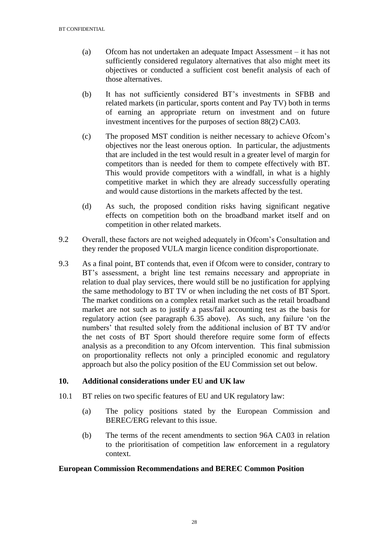- (a) Ofcom has not undertaken an adequate Impact Assessment it has not sufficiently considered regulatory alternatives that also might meet its objectives or conducted a sufficient cost benefit analysis of each of those alternatives.
- (b) It has not sufficiently considered BT's investments in SFBB and related markets (in particular, sports content and Pay TV) both in terms of earning an appropriate return on investment and on future investment incentives for the purposes of section 88(2) CA03.
- (c) The proposed MST condition is neither necessary to achieve Ofcom's objectives nor the least onerous option. In particular, the adjustments that are included in the test would result in a greater level of margin for competitors than is needed for them to compete effectively with BT. This would provide competitors with a windfall, in what is a highly competitive market in which they are already successfully operating and would cause distortions in the markets affected by the test.
- (d) As such, the proposed condition risks having significant negative effects on competition both on the broadband market itself and on competition in other related markets.
- 9.2 Overall, these factors are not weighed adequately in Ofcom's Consultation and they render the proposed VULA margin licence condition disproportionate.
- 9.3 As a final point, BT contends that, even if Ofcom were to consider, contrary to BT's assessment, a bright line test remains necessary and appropriate in relation to dual play services, there would still be no justification for applying the same methodology to BT TV or when including the net costs of BT Sport. The market conditions on a complex retail market such as the retail broadband market are not such as to justify a pass/fail accounting test as the basis for regulatory action (see paragraph 6.35 above). As such, any failure 'on the numbers' that resulted solely from the additional inclusion of BT TV and/or the net costs of BT Sport should therefore require some form of effects analysis as a precondition to any Ofcom intervention. This final submission on proportionality reflects not only a principled economic and regulatory approach but also the policy position of the EU Commission set out below.

### **10. Additional considerations under EU and UK law**

- 10.1 BT relies on two specific features of EU and UK regulatory law:
	- (a) The policy positions stated by the European Commission and BEREC/ERG relevant to this issue.
	- (b) The terms of the recent amendments to section 96A CA03 in relation to the prioritisation of competition law enforcement in a regulatory context.

### **European Commission Recommendations and BEREC Common Position**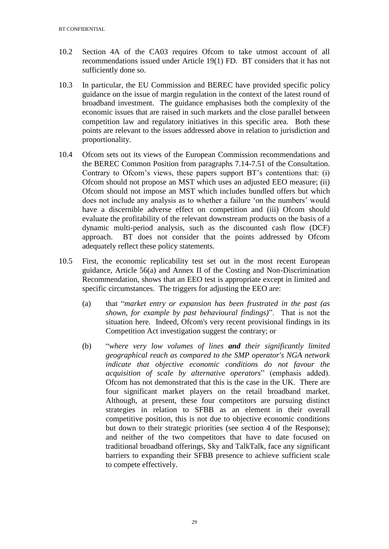- 10.2 Section 4A of the CA03 requires Ofcom to take utmost account of all recommendations issued under Article 19(1) FD. BT considers that it has not sufficiently done so.
- 10.3 In particular, the EU Commission and BEREC have provided specific policy guidance on the issue of margin regulation in the context of the latest round of broadband investment. The guidance emphasises both the complexity of the economic issues that are raised in such markets and the close parallel between competition law and regulatory initiatives in this specific area. Both these points are relevant to the issues addressed above in relation to jurisdiction and proportionality.
- 10.4 Ofcom sets out its views of the European Commission recommendations and the BEREC Common Position from paragraphs 7.14-7.51 of the Consultation. Contrary to Ofcom's views, these papers support BT's contentions that: (i) Ofcom should not propose an MST which uses an adjusted EEO measure; (ii) Ofcom should not impose an MST which includes bundled offers but which does not include any analysis as to whether a failure 'on the numbers' would have a discernible adverse effect on competition and (iii) Ofcom should evaluate the profitability of the relevant downstream products on the basis of a dynamic multi-period analysis, such as the discounted cash flow (DCF) approach. BT does not consider that the points addressed by Ofcom adequately reflect these policy statements.
- 10.5 First, the economic replicability test set out in the most recent European guidance, Article 56(a) and Annex II of the Costing and Non-Discrimination Recommendation, shows that an EEO test is appropriate except in limited and specific circumstances. The triggers for adjusting the EEO are:
	- (a) that "*market entry or expansion has been frustrated in the past (as shown, for example by past behavioural findings)*". That is not the situation here. Indeed, Ofcom's very recent provisional findings in its Competition Act investigation suggest the contrary; or
	- (b) "*where very low volumes of lines and their significantly limited geographical reach as compared to the SMP operator's NGA network indicate that objective economic conditions do not favour the acquisition of scale by alternative operators*" (emphasis added). Ofcom has not demonstrated that this is the case in the UK. There are four significant market players on the retail broadband market. Although, at present, these four competitors are pursuing distinct strategies in relation to SFBB as an element in their overall competitive position, this is not due to objective economic conditions but down to their strategic priorities (see section 4 of the Response); and neither of the two competitors that have to date focused on traditional broadband offerings, Sky and TalkTalk, face any significant barriers to expanding their SFBB presence to achieve sufficient scale to compete effectively.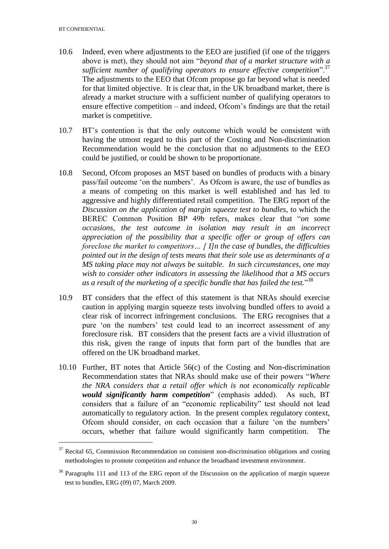- 10.6 Indeed, even where adjustments to the EEO are justified (if one of the triggers above is met), they should not aim "*beyond that of a market structure with a sufficient number of qualifying operators to ensure effective competition*".<sup>37</sup> The adjustments to the EEO that Ofcom propose go far beyond what is needed for that limited objective. It is clear that, in the UK broadband market, there is already a market structure with a sufficient number of qualifying operators to ensure effective competition – and indeed, Ofcom's findings are that the retail market is competitive.
- 10.7 BT's contention is that the only outcome which would be consistent with having the utmost regard to this part of the Costing and Non-discrimination Recommendation would be the conclusion that no adjustments to the EEO could be justified, or could be shown to be proportionate.
- 10.8 Second, Ofcom proposes an MST based on bundles of products with a binary pass/fail outcome 'on the numbers'. As Ofcom is aware, the use of bundles as a means of competing on this market is well established and has led to aggressive and highly differentiated retail competition. The ERG report of the *Discussion on the application of margin squeeze test to bundles*, to which the BEREC Common Position BP 49b refers, makes clear that "*on some occasions, the test outcome in isolation may result in an incorrect appreciation of the possibility that a specific offer or group of offers can foreclose the market to competitors… [ I]n the case of bundles, the difficulties pointed out in the design of tests means that their sole use as determinants of a MS taking place may not always be suitable. In such circumstances, one may wish to consider other indicators in assessing the likelihood that a MS occurs as a result of the marketing of a specific bundle that has failed the test.*" 38
- 10.9 BT considers that the effect of this statement is that NRAs should exercise caution in applying margin squeeze tests involving bundled offers to avoid a clear risk of incorrect infringement conclusions. The ERG recognises that a pure 'on the numbers' test could lead to an incorrect assessment of any foreclosure risk. BT considers that the present facts are a vivid illustration of this risk, given the range of inputs that form part of the bundles that are offered on the UK broadband market.
- 10.10 Further, BT notes that Article 56(c) of the Costing and Non-discrimination Recommendation states that NRAs should make use of their powers "*Where the NRA considers that a retail offer which is not economically replicable would significantly harm competition*" (emphasis added). As such, BT considers that a failure of an "economic replicability" test should not lead automatically to regulatory action. In the present complex regulatory context, Ofcom should consider, on each occasion that a failure 'on the numbers' occurs, whether that failure would significantly harm competition. The

<sup>&</sup>lt;sup>37</sup> Recital 65, Commission Recommendation on consistent non-discrimination obligations and costing methodologies to promote competition and enhance the broadband investment environment.

<sup>&</sup>lt;sup>38</sup> Paragraphs 111 and 113 of the ERG report of the Discussion on the application of margin squeeze test to bundles, ERG (09) 07, March 2009.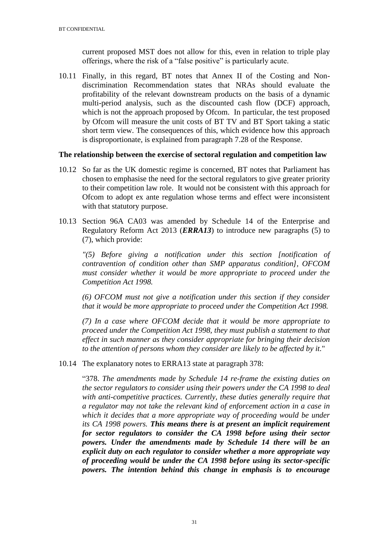current proposed MST does not allow for this, even in relation to triple play offerings, where the risk of a "false positive" is particularly acute.

10.11 Finally, in this regard, BT notes that Annex II of the Costing and Nondiscrimination Recommendation states that NRAs should evaluate the profitability of the relevant downstream products on the basis of a dynamic multi-period analysis, such as the discounted cash flow (DCF) approach, which is not the approach proposed by Ofcom. In particular, the test proposed by Ofcom will measure the unit costs of BT TV and BT Sport taking a static short term view. The consequences of this, which evidence how this approach is disproportionate, is explained from paragraph 7.28 of the Response.

### **The relationship between the exercise of sectoral regulation and competition law**

- 10.12 So far as the UK domestic regime is concerned, BT notes that Parliament has chosen to emphasise the need for the sectoral regulators to give greater priority to their competition law role. It would not be consistent with this approach for Ofcom to adopt ex ante regulation whose terms and effect were inconsistent with that statutory purpose.
- 10.13 Section 96A CA03 was amended by Schedule 14 of the Enterprise and Regulatory Reform Act 2013 (*ERRA13*) to introduce new paragraphs (5) to (7), which provide:

*"(5) Before giving a notification under this section [notification of contravention of condition other than SMP apparatus condition], OFCOM must consider whether it would be more appropriate to proceed under the Competition Act 1998.*

*(6) OFCOM must not give a notification under this section if they consider that it would be more appropriate to proceed under the Competition Act 1998.*

*(7) In a case where OFCOM decide that it would be more appropriate to proceed under the Competition Act 1998, they must publish a statement to that effect in such manner as they consider appropriate for bringing their decision to the attention of persons whom they consider are likely to be affected by it.*"

10.14 The explanatory notes to ERRA13 state at paragraph 378:

"378. *The amendments made by Schedule 14 re-frame the existing duties on the sector regulators to consider using their powers under the CA 1998 to deal with anti-competitive practices. Currently, these duties generally require that a regulator may not take the relevant kind of enforcement action in a case in*  which it decides that a more appropriate way of proceeding would be under *its CA 1998 powers. This means there is at present an implicit requirement for sector regulators to consider the CA 1998 before using their sector powers. Under the amendments made by Schedule 14 there will be an explicit duty on each regulator to consider whether a more appropriate way of proceeding would be under the CA 1998 before using its sector-specific powers. The intention behind this change in emphasis is to encourage*